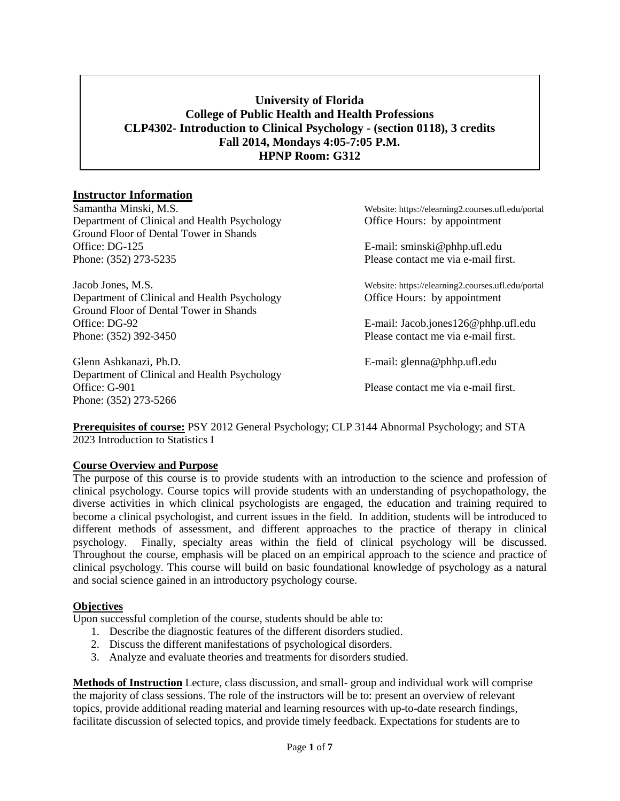# **University of Florida College of Public Health and Health Professions CLP4302- Introduction to Clinical Psychology - (section 0118), 3 credits Fall 2014, Mondays 4:05-7:05 P.M. HPNP Room: G312**

## **Instructor Information**

Department of Clinical and Health Psychology Office Hours: by appointment Ground Floor of Dental Tower in Shands Office: DG-125 E-mail: sminski@phhp.ufl.edu Phone: (352) 273-5235 Please contact me via e-mail first.

Jacob Jones, M.S. Website: https://elearning2.courses.ufl.edu/portal Department of Clinical and Health Psychology Office Hours: by appointment Ground Floor of Dental Tower in Shands Office: DG-92 E-mail: Jacob.jones126@phhp.ufl.edu Phone: (352) 392-3450 Please contact me via e-mail first.

Glenn Ashkanazi, Ph.D. E-mail: glenna@phhp.ufl.edu Department of Clinical and Health Psychology Office: G-901 **Please contact me via e-mail first.** Phone: (352) 273-5266

Samantha Minski, M.S. Website: https://elearning2.courses.ufl.edu/portal

**Prerequisites of course:** PSY 2012 General Psychology; CLP 3144 Abnormal Psychology; and STA 2023 Introduction to Statistics I

#### **Course Overview and Purpose**

The purpose of this course is to provide students with an introduction to the science and profession of clinical psychology. Course topics will provide students with an understanding of psychopathology, the diverse activities in which clinical psychologists are engaged, the education and training required to become a clinical psychologist, and current issues in the field. In addition, students will be introduced to different methods of assessment, and different approaches to the practice of therapy in clinical psychology. Finally, specialty areas within the field of clinical psychology will be discussed. Throughout the course, emphasis will be placed on an empirical approach to the science and practice of clinical psychology. This course will build on basic foundational knowledge of psychology as a natural and social science gained in an introductory psychology course.

#### **Objectives**

Upon successful completion of the course, students should be able to:

- 1. Describe the diagnostic features of the different disorders studied.
- 2. Discuss the different manifestations of psychological disorders.
- 3. Analyze and evaluate theories and treatments for disorders studied.

**Methods of Instruction** Lecture, class discussion, and small- group and individual work will comprise the majority of class sessions. The role of the instructors will be to: present an overview of relevant topics, provide additional reading material and learning resources with up-to-date research findings, facilitate discussion of selected topics, and provide timely feedback. Expectations for students are to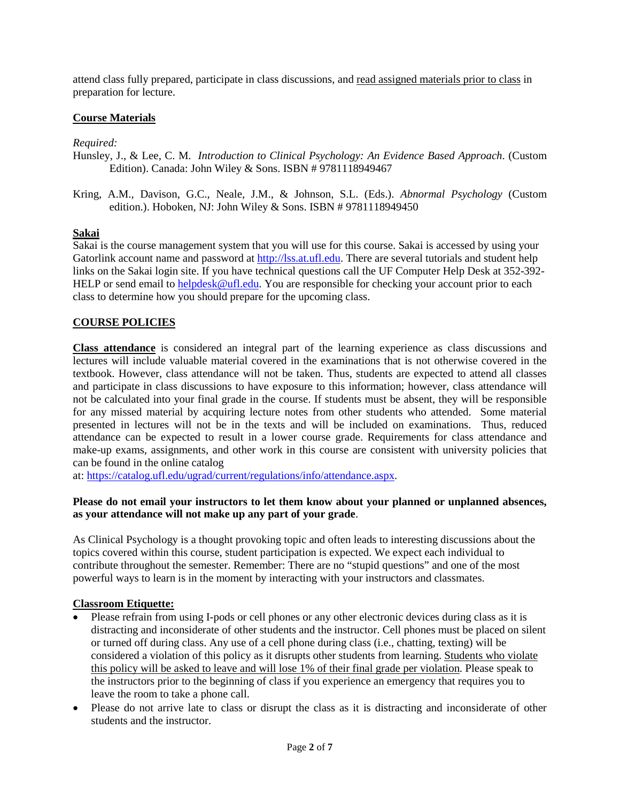attend class fully prepared, participate in class discussions, and read assigned materials prior to class in preparation for lecture.

# **Course Materials**

## *Required:*

Hunsley, J., & Lee, C. M. *Introduction to Clinical Psychology: An Evidence Based Approach*. (Custom Edition). Canada: John Wiley & Sons. ISBN # 9781118949467

Kring, A.M., Davison, G.C., Neale, J.M., & Johnson, S.L. (Eds.). *Abnormal Psychology* (Custom edition.). Hoboken, NJ: John Wiley & Sons. ISBN # 9781118949450

#### **Sakai**

Sakai is the course management system that you will use for this course. Sakai is accessed by using your Gatorlink account name and password at [http://lss.at.ufl.edu.](http://lss.at.ufl.edu/) There are several tutorials and student help links on the Sakai login site. If you have technical questions call the UF Computer Help Desk at 352-392 HELP or send email to [helpdesk@ufl.edu.](mailto:helpdesk@ufl.edu) You are responsible for checking your account prior to each class to determine how you should prepare for the upcoming class.

# **COURSE POLICIES**

**Class attendance** is considered an integral part of the learning experience as class discussions and lectures will include valuable material covered in the examinations that is not otherwise covered in the textbook. However, class attendance will not be taken. Thus, students are expected to attend all classes and participate in class discussions to have exposure to this information; however, class attendance will not be calculated into your final grade in the course. If students must be absent, they will be responsible for any missed material by acquiring lecture notes from other students who attended. Some material presented in lectures will not be in the texts and will be included on examinations. Thus, reduced attendance can be expected to result in a lower course grade. Requirements for class attendance and make-up exams, assignments, and other work in this course are consistent with university policies that can be found in the online catalog

at[: https://catalog.ufl.edu/ugrad/current/regulations/info/attendance.aspx.](https://catalog.ufl.edu/ugrad/current/regulations/info/attendance.aspx)

#### **Please do not email your instructors to let them know about your planned or unplanned absences, as your attendance will not make up any part of your grade**.

As Clinical Psychology is a thought provoking topic and often leads to interesting discussions about the topics covered within this course, student participation is expected. We expect each individual to contribute throughout the semester. Remember: There are no "stupid questions" and one of the most powerful ways to learn is in the moment by interacting with your instructors and classmates.

# **Classroom Etiquette:**

- Please refrain from using I-pods or cell phones or any other electronic devices during class as it is distracting and inconsiderate of other students and the instructor. Cell phones must be placed on silent or turned off during class. Any use of a cell phone during class (i.e., chatting, texting) will be considered a violation of this policy as it disrupts other students from learning. Students who violate this policy will be asked to leave and will lose 1% of their final grade per violation. Please speak to the instructors prior to the beginning of class if you experience an emergency that requires you to leave the room to take a phone call.
- Please do not arrive late to class or disrupt the class as it is distracting and inconsiderate of other students and the instructor.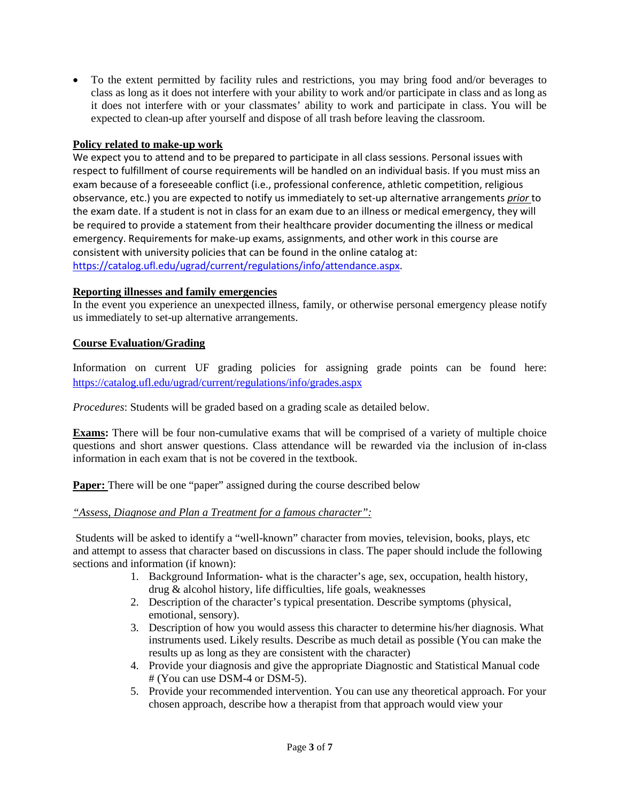• To the extent permitted by facility rules and restrictions, you may bring food and/or beverages to class as long as it does not interfere with your ability to work and/or participate in class and as long as it does not interfere with or your classmates' ability to work and participate in class. You will be expected to clean-up after yourself and dispose of all trash before leaving the classroom.

## **Policy related to make-up work**

We expect you to attend and to be prepared to participate in all class sessions. Personal issues with respect to fulfillment of course requirements will be handled on an individual basis. If you must miss an exam because of a foreseeable conflict (i.e., professional conference, athletic competition, religious observance, etc.) you are expected to notify us immediately to set-up alternative arrangements *prior* to the exam date. If a student is not in class for an exam due to an illness or medical emergency, they will be required to provide a statement from their healthcare provider documenting the illness or medical emergency. Requirements for make-up exams, assignments, and other work in this course are consistent with university policies that can be found in the online catalog at: [https://catalog.ufl.edu/ugrad/current/regulations/info/attendance.aspx.](https://catalog.ufl.edu/ugrad/current/regulations/info/attendance.aspx)

#### **Reporting illnesses and family emergencies**

In the event you experience an unexpected illness, family, or otherwise personal emergency please notify us immediately to set-up alternative arrangements.

#### **Course Evaluation/Grading**

Information on current UF grading policies for assigning grade points can be found here: <https://catalog.ufl.edu/ugrad/current/regulations/info/grades.aspx>

*Procedures*: Students will be graded based on a grading scale as detailed below.

**Exams:** There will be four non-cumulative exams that will be comprised of a variety of multiple choice questions and short answer questions. Class attendance will be rewarded via the inclusion of in-class information in each exam that is not be covered in the textbook.

**Paper:** There will be one "paper" assigned during the course described below

# *"Assess, Diagnose and Plan a Treatment for a famous character":*

Students will be asked to identify a "well-known" character from movies, television, books, plays, etc and attempt to assess that character based on discussions in class. The paper should include the following sections and information (if known):

- 1. Background Information- what is the character's age, sex, occupation, health history, drug & alcohol history, life difficulties, life goals, weaknesses
- 2. Description of the character's typical presentation. Describe symptoms (physical, emotional, sensory).
- 3. Description of how you would assess this character to determine his/her diagnosis. What instruments used. Likely results. Describe as much detail as possible (You can make the results up as long as they are consistent with the character)
- 4. Provide your diagnosis and give the appropriate Diagnostic and Statistical Manual code # (You can use DSM-4 or DSM-5).
- 5. Provide your recommended intervention. You can use any theoretical approach. For your chosen approach, describe how a therapist from that approach would view your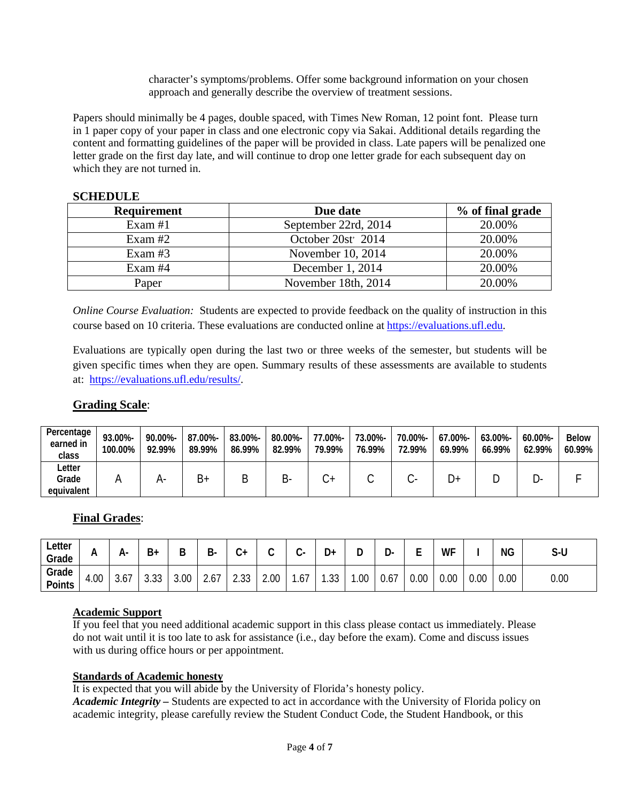character's symptoms/problems. Offer some background information on your chosen approach and generally describe the overview of treatment sessions.

Papers should minimally be 4 pages, double spaced, with Times New Roman, 12 point font. Please turn in 1 paper copy of your paper in class and one electronic copy via Sakai. Additional details regarding the content and formatting guidelines of the paper will be provided in class. Late papers will be penalized one letter grade on the first day late, and will continue to drop one letter grade for each subsequent day on which they are not turned in.

#### **SCHEDULE**

| <b>Requirement</b> | Due date                       | % of final grade |
|--------------------|--------------------------------|------------------|
| Exam $#1$          | September 22rd, 2014           | 20.00%           |
| Exam $#2$          | October 20st <sup>2</sup> 2014 | 20.00%           |
| Exam $#3$          | November 10, 2014              | 20.00%           |
| Exam #4            | December 1, 2014               | 20.00%           |
| Paper              | November 18th, 2014            | 20.00%           |

*Online Course Evaluation:* Students are expected to provide feedback on the quality of instruction in this course based on 10 criteria. These evaluations are conducted online at [https://evaluations.ufl.edu.](https://evaluations.ufl.edu/)

Evaluations are typically open during the last two or three weeks of the semester, but students will be given specific times when they are open. Summary results of these assessments are available to students at: [https://evaluations.ufl.edu/results/.](https://evaluations.ufl.edu/results/)

# **Grading Scale**:

| Percentage<br>earned in<br>class | 93.00%-<br>100.00% | 90.00%-<br>92.99% | 87.00%-<br>89.99% | 83.00%-<br>86.99% | 80.00%-<br>82.99% | 77.00%-<br>79.99% | 73.00%-<br>76.99% | 70.00%-<br>72.99% | 67.00%-<br>69.99% | 63.00%-<br>66.99% | $60.00\%$ -<br>62.99% | <b>Below</b><br>60.99% |
|----------------------------------|--------------------|-------------------|-------------------|-------------------|-------------------|-------------------|-------------------|-------------------|-------------------|-------------------|-----------------------|------------------------|
| ∟etter<br>Grade<br>equivalent    |                    |                   | Β+                | D                 |                   |                   |                   |                   | D+                |                   |                       |                        |

# **Final Grades**:

| Letter<br>Grade        |          | А-                               | $B+$           | D<br>D | D<br>D- | ⌒<br>+ت |      |      | n<br>⊦ل   | −   | r<br>יע. | -<br>- | WF   |      | <b>NG</b> | S-U  |
|------------------------|----------|----------------------------------|----------------|--------|---------|---------|------|------|-----------|-----|----------|--------|------|------|-----------|------|
| Grade<br><b>Points</b> | 00.<br>4 | $\overline{\phantom{a}}$<br>3.O. | $\cap$<br>ບ.ບບ | 3.00   | 2.6/    | 2.33    | 2.00 | 1.67 | ົດ<br>.აა | .00 | 0.67     | 0.00   | 0.00 | 0.00 | 0.00      | 0.00 |

# **Academic Support**

If you feel that you need additional academic support in this class please contact us immediately. Please do not wait until it is too late to ask for assistance (i.e., day before the exam). Come and discuss issues with us during office hours or per appointment.

# **Standards of Academic honesty**

It is expected that you will abide by the University of Florida's honesty policy. *Academic Integrity –* Students are expected to act in accordance with the University of Florida policy on academic integrity, please carefully review the Student Conduct Code, the Student Handbook, or this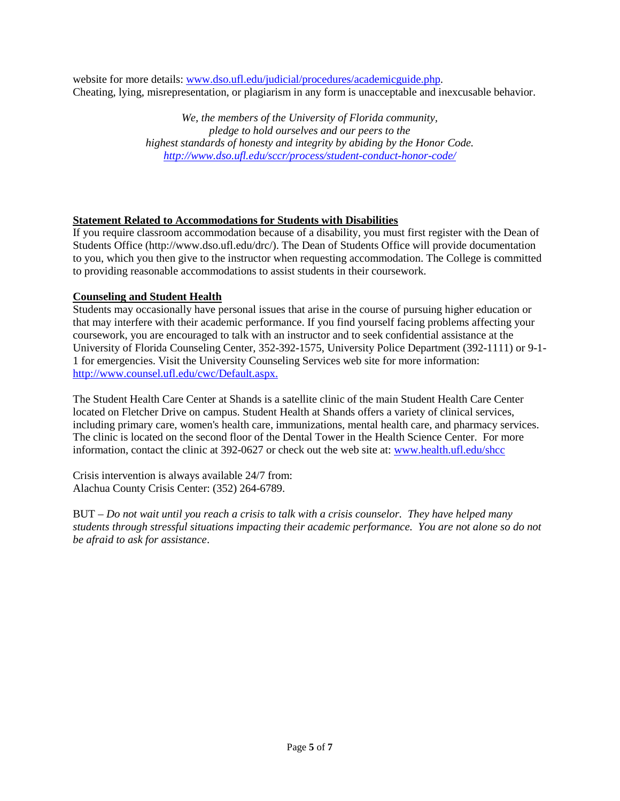website for more details: [www.dso.ufl.edu/judicial/procedures/academicguide.php.](http://www.dso.ufl.edu/judicial/procedures/academicguide.php) Cheating, lying, misrepresentation, or plagiarism in any form is unacceptable and inexcusable behavior.

> *We, the members of the University of Florida community, pledge to hold ourselves and our peers to the highest standards of honesty and integrity by abiding by the Honor Code. <http://www.dso.ufl.edu/sccr/process/student-conduct-honor-code/>*

# **Statement Related to Accommodations for Students with Disabilities**

If you require classroom accommodation because of a disability, you must first register with the Dean of Students Office (http://www.dso.ufl.edu/drc/). The Dean of Students Office will provide documentation to you, which you then give to the instructor when requesting accommodation. The College is committed to providing reasonable accommodations to assist students in their coursework.

# **Counseling and Student Health**

Students may occasionally have personal issues that arise in the course of pursuing higher education or that may interfere with their academic performance. If you find yourself facing problems affecting your coursework, you are encouraged to talk with an instructor and to seek confidential assistance at the University of Florida Counseling Center, 352-392-1575, University Police Department (392-1111) or 9-1- 1 for emergencies. Visit the University Counseling Services web site for more information: [http://www.counsel.ufl.edu/c](http://www.counsel.ufl.edu/)wc/Default.aspx.

The Student Health Care Center at Shands is a satellite clinic of the main Student Health Care Center located on Fletcher Drive on campus. Student Health at Shands offers a variety of clinical services, including primary care, women's health care, immunizations, mental health care, and pharmacy services. The clinic is located on the second floor of the Dental Tower in the Health Science Center. For more information, contact the clinic at 392-0627 or check out the web site at: [www.health.ufl.edu/shcc](http://www.health.ufl.edu/shcc)

Crisis intervention is always available 24/7 from: Alachua County Crisis Center: (352) 264-6789.

BUT – *Do not wait until you reach a crisis to talk with a crisis counselor. They have helped many students through stressful situations impacting their academic performance. You are not alone so do not be afraid to ask for assistance*.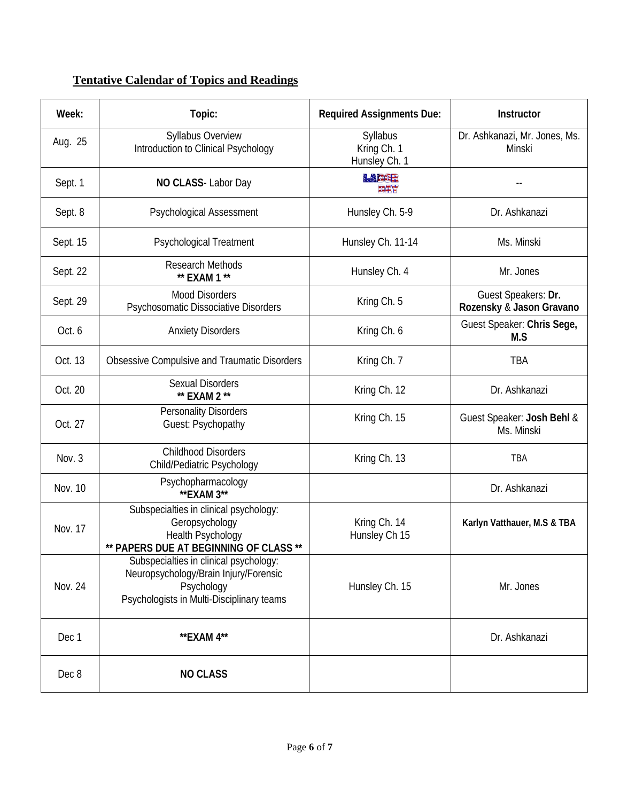# **Tentative Calendar of Topics and Readings**

| Week:          | Topic:                                                                                                                                     | <b>Required Assignments Due:</b>         | Instructor                                      |
|----------------|--------------------------------------------------------------------------------------------------------------------------------------------|------------------------------------------|-------------------------------------------------|
| Aug. 25        | <b>Syllabus Overview</b><br>Introduction to Clinical Psychology                                                                            | Syllabus<br>Kring Ch. 1<br>Hunsley Ch. 1 | Dr. Ashkanazi, Mr. Jones, Ms.<br>Minski         |
| Sept. 1        | NO CLASS- Labor Day                                                                                                                        | <b>MACOR</b><br>重要者                      |                                                 |
| Sept. 8        | Psychological Assessment                                                                                                                   | Hunsley Ch. 5-9                          | Dr. Ashkanazi                                   |
| Sept. 15       | <b>Psychological Treatment</b>                                                                                                             | Hunsley Ch. 11-14                        | Ms. Minski                                      |
| Sept. 22       | Research Methods<br>** EXAM 1 **                                                                                                           | Hunsley Ch. 4                            | Mr. Jones                                       |
| Sept. 29       | <b>Mood Disorders</b><br>Psychosomatic Dissociative Disorders                                                                              | Kring Ch. 5                              | Guest Speakers: Dr.<br>Rozensky & Jason Gravano |
| Oct. 6         | <b>Anxiety Disorders</b>                                                                                                                   | Kring Ch. 6                              | Guest Speaker: Chris Sege,<br>M.S               |
| Oct. 13        | Obsessive Compulsive and Traumatic Disorders                                                                                               | Kring Ch. 7                              | TBA                                             |
| Oct. 20        | <b>Sexual Disorders</b><br>** EXAM 2 **                                                                                                    | Kring Ch. 12                             | Dr. Ashkanazi                                   |
| Oct. 27        | <b>Personality Disorders</b><br>Guest: Psychopathy                                                                                         | Kring Ch. 15                             | Guest Speaker: Josh Behl &<br>Ms. Minski        |
| Nov. 3         | <b>Childhood Disorders</b><br>Child/Pediatric Psychology                                                                                   | Kring Ch. 13                             | TBA                                             |
| Nov. 10        | Psychopharmacology<br>** EXAM 3**                                                                                                          |                                          | Dr. Ashkanazi                                   |
| Nov. 17        | Subspecialties in clinical psychology:<br>Geropsychology<br>Health Psychology<br>** PAPERS DUE AT BEGINNING OF CLASS **                    | Kring Ch. 14<br>Hunsley Ch 15            | Karlyn Vatthauer, M.S & TBA                     |
| <b>Nov. 24</b> | Subspecialties in clinical psychology:<br>Neuropsychology/Brain Injury/Forensic<br>Psychology<br>Psychologists in Multi-Disciplinary teams | Hunsley Ch. 15                           | Mr. Jones                                       |
| Dec 1          | **EXAM 4**                                                                                                                                 |                                          | Dr. Ashkanazi                                   |
| Dec 8          | <b>NO CLASS</b>                                                                                                                            |                                          |                                                 |